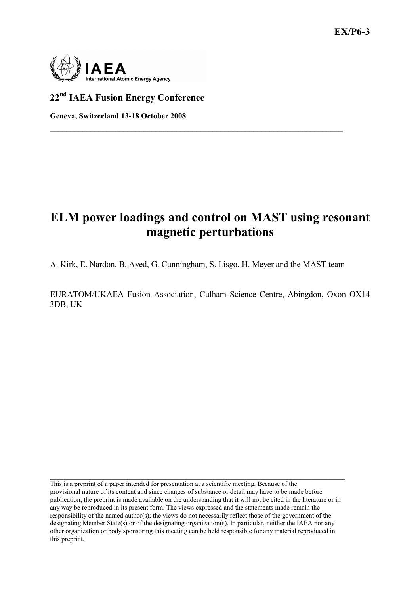

## 22nd IAEA Fusion Energy Conference

Geneva, Switzerland 13-18 October 2008

# ELM power loadings and control on MAST using resonant magnetic perturbations

A. Kirk, E. Nardon, B. Ayed, G. Cunningham, S. Lisgo, H. Meyer and the MAST team

 $\_$  , and the contribution of the contribution of  $\mathcal{L}_1$  , and  $\mathcal{L}_2$  , and  $\mathcal{L}_3$  , and  $\mathcal{L}_4$  , and  $\mathcal{L}_5$ 

EURATOM/UKAEA Fusion Association, Culham Science Centre, Abingdon, Oxon OX14 3DB, UK

This is a preprint of a paper intended for presentation at a scientific meeting. Because of the provisional nature of its content and since changes of substance or detail may have to be made before publication, the preprint is made available on the understanding that it will not be cited in the literature or in any way be reproduced in its present form. The views expressed and the statements made remain the responsibility of the named author(s); the views do not necessarily reflect those of the government of the designating Member State(s) or of the designating organization(s). In particular, neither the IAEA nor any other organization or body sponsoring this meeting can be held responsible for any material reproduced in this preprint.

 $\_$  ,  $\_$  ,  $\_$  ,  $\_$  ,  $\_$  ,  $\_$  ,  $\_$  ,  $\_$  ,  $\_$  ,  $\_$  ,  $\_$  ,  $\_$  ,  $\_$  ,  $\_$  ,  $\_$  ,  $\_$  ,  $\_$  ,  $\_$  ,  $\_$  ,  $\_$  ,  $\_$  ,  $\_$  ,  $\_$  ,  $\_$  ,  $\_$  ,  $\_$  ,  $\_$  ,  $\_$  ,  $\_$  ,  $\_$  ,  $\_$  ,  $\_$  ,  $\_$  ,  $\_$  ,  $\_$  ,  $\_$  ,  $\_$  ,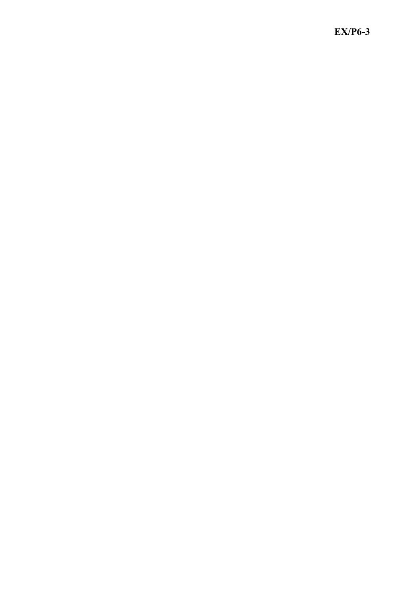## EX/P6-3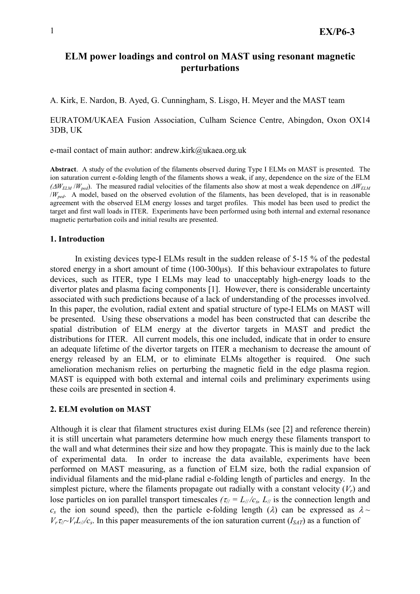### ELM power loadings and control on MAST using resonant magnetic perturbations

A. Kirk, E. Nardon, B. Ayed, G. Cunningham, S. Lisgo, H. Meyer and the MAST team

EURATOM/UKAEA Fusion Association, Culham Science Centre, Abingdon, Oxon OX14 3DB, UK

e-mail contact of main author: andrew.kirk@ukaea.org.uk

Abstract. A study of the evolution of the filaments observed during Type I ELMs on MAST is presented. The ion saturation current e-folding length of the filaments shows a weak, if any, dependence on the size of the ELM  $(\Delta W_{ELM} / W_{ped})$ . The measured radial velocities of the filaments also show at most a weak dependence on  $\Delta W_{ELM}$  $/W_{ped}$ . A model, based on the observed evolution of the filaments, has been developed, that is in reasonable agreement with the observed ELM energy losses and target profiles. This model has been used to predict the target and first wall loads in ITER. Experiments have been performed using both internal and external resonance magnetic perturbation coils and initial results are presented.

#### 1. Introduction

In existing devices type-I ELMs result in the sudden release of 5-15 % of the pedestal stored energy in a short amount of time (100-300µs). If this behaviour extrapolates to future devices, such as ITER, type I ELMs may lead to unacceptably high-energy loads to the divertor plates and plasma facing components [1]. However, there is considerable uncertainty associated with such predictions because of a lack of understanding of the processes involved. In this paper, the evolution, radial extent and spatial structure of type-I ELMs on MAST will be presented. Using these observations a model has been constructed that can describe the spatial distribution of ELM energy at the divertor targets in MAST and predict the distributions for ITER. All current models, this one included, indicate that in order to ensure an adequate lifetime of the divertor targets on ITER a mechanism to decrease the amount of energy released by an ELM, or to eliminate ELMs altogether is required. One such amelioration mechanism relies on perturbing the magnetic field in the edge plasma region. MAST is equipped with both external and internal coils and preliminary experiments using these coils are presented in section 4.

#### 2. ELM evolution on MAST

Although it is clear that filament structures exist during ELMs (see [2] and reference therein) it is still uncertain what parameters determine how much energy these filaments transport to the wall and what determines their size and how they propagate. This is mainly due to the lack of experimental data. In order to increase the data available, experiments have been performed on MAST measuring, as a function of ELM size, both the radial expansion of individual filaments and the mid-plane radial e-folding length of particles and energy. In the simplest picture, where the filaments propagate out radially with a constant velocity  $(V_r)$  and lose particles on ion parallel transport timescales ( $\tau_{\ell} = L_{\ell}/c_s$ ,  $L_{\ell}$ ) is the connection length and  $c_s$  the ion sound speed), then the particle e-folding length ( $\lambda$ ) can be expressed as  $\lambda \sim$  $V_r \tau \sim V_r L_l/c_s$ . In this paper measurements of the ion saturation current  $(I_{S4T})$  as a function of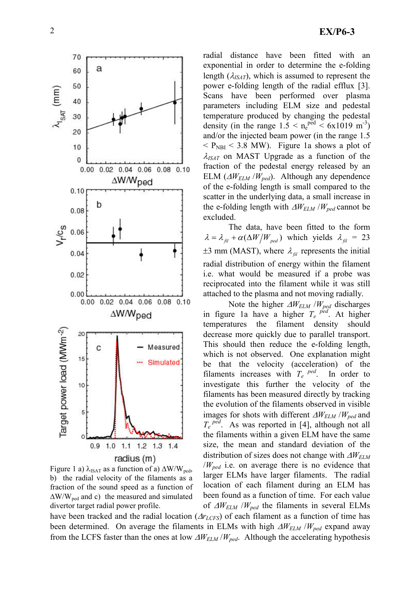

Figure 1 a)  $\lambda_{\text{ISAT}}$  as a function of a)  $\Delta \text{W/W}_{\text{ned}}$ , b) the radial velocity of the filaments as a fraction of the sound speed as a function of  $\Delta$ W/W<sub>ped</sub> and c) the measured and simulated divertor target radial power profile.

radial distance have been fitted with an exponential in order to determine the e-folding length  $(\lambda_{\text{ISAT}})$ , which is assumed to represent the power e-folding length of the radial efflux [3]. Scans have been performed over plasma parameters including ELM size and pedestal temperature produced by changing the pedestal density (in the range  $1.5 < n_e^{\text{ped}} < 6x1019 \text{ m}^{-3}$ ) and/or the injected beam power (in the range 1.5  $P_{\text{NBI}}$  < 3.8 MW). Figure 1a shows a plot of  $\lambda_{ISAT}$  on MAST Upgrade as a function of the fraction of the pedestal energy released by an ELM  $(\Delta W_{ELM} / W_{ped})$ . Although any dependence of the e-folding length is small compared to the scatter in the underlying data, a small increase in the e-folding length with  $\Delta W_{ELM}$  /W<sub>ped</sub> cannot be excluded.

The data, have been fitted to the form  $\lambda = \lambda_{\text{fil}} + \alpha (\Delta W / W_{\text{ped}})$  which yields  $\lambda_{\text{fil}} = 23$  $\pm 3$  mm (MAST), where  $\lambda_{\hat{nl}}$  represents the initial radial distribution of energy within the filament i.e. what would be measured if a probe was reciprocated into the filament while it was still attached to the plasma and not moving radially.

Note the higher  $\Delta W_{ELM}$  /W<sub>ped</sub> discharges in figure 1a have a higher  $T_e$  <sup>ped</sup>. At higher temperatures the filament density should decrease more quickly due to parallel transport. This should then reduce the e-folding length, which is not observed. One explanation might be that the velocity (acceleration) of the filaments increases with  $T_e^{ped}$ . In order to investigate this further the velocity of the filaments has been measured directly by tracking the evolution of the filaments observed in visible images for shots with different  $\Delta W_{ELM}$  /W<sub>ped</sub> and  $T_e^{ped}$ . As was reported in [4], although not all the filaments within a given ELM have the same size, the mean and standard deviation of the distribution of sizes does not change with  $\Delta W_{ELM}$  $/W_{ped}$  i.e. on average there is no evidence that larger ELMs have larger filaments. The radial location of each filament during an ELM has been found as a function of time. For each value of  $\Delta W_{ELM}$  /W<sub>ped</sub> the filaments in several ELMs

have been tracked and the radial location ( $\Delta r_{LCFS}$ ) of each filament as a function of time has been determined. On average the filaments in ELMs with high  $\Delta W_{ELM}$  /W<sub>ped</sub> expand away from the LCFS faster than the ones at low  $\Delta W_{ELM} / W_{ped}$ . Although the accelerating hypothesis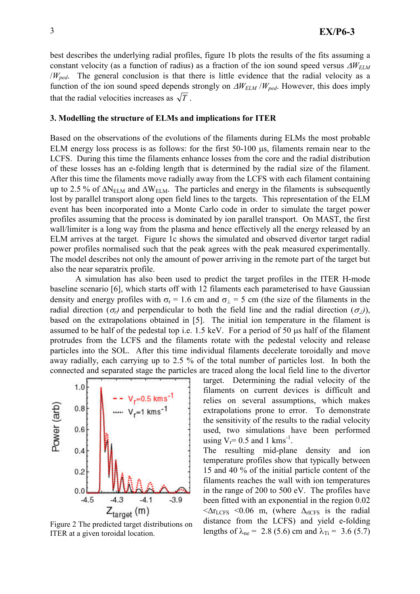best describes the underlying radial profiles, figure 1b plots the results of the fits assuming a constant velocity (as a function of radius) as a fraction of the ion sound speed versus  $\Delta W_{ELM}$  $/W_{ped}$ . The general conclusion is that there is little evidence that the radial velocity as a function of the ion sound speed depends strongly on  $\Delta W_{ELM}$  /W<sub>ped</sub>. However, this does imply that the radial velocities increases as  $\sqrt{T}$ .

#### 3. Modelling the structure of ELMs and implications for ITER

Based on the observations of the evolutions of the filaments during ELMs the most probable ELM energy loss process is as follows: for the first 50-100  $\mu$ s, filaments remain near to the LCFS. During this time the filaments enhance losses from the core and the radial distribution of these losses has an e-folding length that is determined by the radial size of the filament. After this time the filaments move radially away from the LCFS with each filament containing up to 2.5 % of  $\Delta N_{\text{ELM}}$  and  $\Delta W_{\text{ELM}}$ . The particles and energy in the filaments is subsequently lost by parallel transport along open field lines to the targets. This representation of the ELM event has been incorporated into a Monte Carlo code in order to simulate the target power profiles assuming that the process is dominated by ion parallel transport. On MAST, the first wall/limiter is a long way from the plasma and hence effectively all the energy released by an ELM arrives at the target. Figure 1c shows the simulated and observed divertor target radial power profiles normalised such that the peak agrees with the peak measured experimentally. The model describes not only the amount of power arriving in the remote part of the target but also the near separatrix profile.

A simulation has also been used to predict the target profiles in the ITER H-mode baseline scenario [6], which starts off with 12 filaments each parameterised to have Gaussian density and energy profiles with  $\sigma_r = 1.6$  cm and  $\sigma_{\perp} = 5$  cm (the size of the filaments in the radial direction ( $\sigma_r$ ) and perpendicular to both the field line and the radial direction ( $\sigma_l$ )), based on the extrapolations obtained in [5]. The initial ion temperature in the filament is assumed to be half of the pedestal top i.e. 1.5 keV. For a period of 50 µs half of the filament protrudes from the LCFS and the filaments rotate with the pedestal velocity and release particles into the SOL. After this time individual filaments decelerate toroidally and move away radially, each carrying up to 2.5 % of the total number of particles lost. In both the connected and separated stage the particles are traced along the local field line to the divertor



Figure 2 The predicted target distributions on ITER at a given toroidal location.

target. Determining the radial velocity of the filaments on current devices is difficult and relies on several assumptions, which makes extrapolations prone to error. To demonstrate the sensitivity of the results to the radial velocity used, two simulations have been performed using  $V_r = 0.5$  and 1 kms<sup>-1</sup>.

The resulting mid-plane density and ion temperature profiles show that typically between 15 and 40 % of the initial particle content of the filaments reaches the wall with ion temperatures in the range of 200 to 500 eV. The profiles have been fitted with an exponential in the region 0.02  $\leq \Delta r_{\text{LCFS}} \leq 0.06$  m, (where  $\Delta r_{\text{LCFS}}$  is the radial distance from the LCFS) and yield e-folding lengths of  $\lambda_{\text{ne}}$  = 2.8 (5.6) cm and  $\lambda_{\text{Ti}}$  = 3.6 (5.7)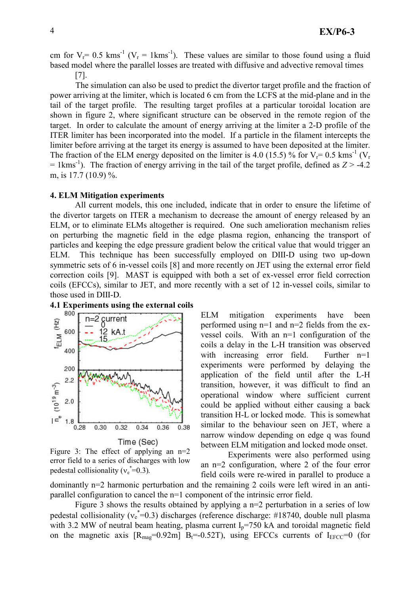cm for  $V_r = 0.5$  kms<sup>-1</sup> ( $V_r = 1$ kms<sup>-1</sup>). These values are similar to those found using a fluid based model where the parallel losses are treated with diffusive and advective removal times [7].

The simulation can also be used to predict the divertor target profile and the fraction of power arriving at the limiter, which is located 6 cm from the LCFS at the mid-plane and in the tail of the target profile. The resulting target profiles at a particular toroidal location are shown in figure 2, where significant structure can be observed in the remote region of the target. In order to calculate the amount of energy arriving at the limiter a 2-D profile of the ITER limiter has been incorporated into the model. If a particle in the filament intercepts the limiter before arriving at the target its energy is assumed to have been deposited at the limiter. The fraction of the ELM energy deposited on the limiter is 4.0 (15.5) % for  $V_r = 0.5$  kms<sup>-1</sup> ( $V_r$  $= 1 \text{km} \text{s}^{-1}$ ). The fraction of energy arriving in the tail of the target profile, defined as  $Z > -4.2$ m, is 17.7 (10.9) %.

#### 4. ELM Mitigation experiments

All current models, this one included, indicate that in order to ensure the lifetime of the divertor targets on ITER a mechanism to decrease the amount of energy released by an ELM, or to eliminate ELMs altogether is required. One such amelioration mechanism relies on perturbing the magnetic field in the edge plasma region, enhancing the transport of particles and keeping the edge pressure gradient below the critical value that would trigger an ELM. This technique has been successfully employed on DIII-D using two up-down symmetric sets of 6 in-vessel coils [8] and more recently on JET using the external error field correction coils [9]. MAST is equipped with both a set of ex-vessel error field correction coils (EFCCs), similar to JET, and more recently with a set of 12 in-vessel coils, similar to those used in DIII-D.



Time (Sec) Figure 3: The effect of applying an  $n=2$ error field to a series of discharges with low

pedestal collisionality ( $v_e^*$ =0.3).

ELM mitigation experiments have been performed using n=1 and n=2 fields from the exvessel coils. With an n=1 configuration of the coils a delay in the L-H transition was observed with increasing error field. Further  $n=1$ experiments were performed by delaying the application of the field until after the L-H transition, however, it was difficult to find an operational window where sufficient current could be applied without either causing a back transition H-L or locked mode. This is somewhat similar to the behaviour seen on JET, where a narrow window depending on edge q was found between ELM mitigation and locked mode onset.

 Experiments were also performed using an n=2 configuration, where 2 of the four error field coils were re-wired in parallel to produce a

dominantly n=2 harmonic perturbation and the remaining 2 coils were left wired in an antiparallel configuration to cancel the n=1 component of the intrinsic error field.

Figure 3 shows the results obtained by applying a n=2 perturbation in a series of low pedestal collisionality ( $v_e^*$ =0.3) discharges (reference discharge: #18740, double null plasma with 3.2 MW of neutral beam heating, plasma current  $I_p$ =750 kA and toroidal magnetic field on the magnetic axis  $[R_{\text{mag}}=0.92 \text{m}]$  B<sub>t</sub>=-0.52T), using EFCCs currents of I<sub>EFCC</sub>=0 (for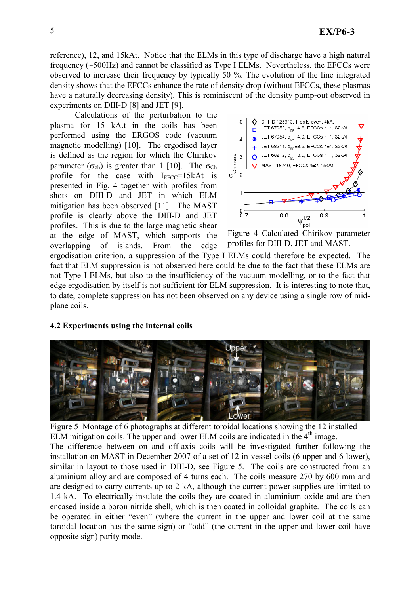reference), 12, and 15kAt. Notice that the ELMs in this type of discharge have a high natural frequency (~500Hz) and cannot be classified as Type I ELMs. Nevertheless, the EFCCs were observed to increase their frequency by typically 50 %. The evolution of the line integrated density shows that the EFCCs enhance the rate of density drop (without EFCCs, these plasmas have a naturally decreasing density). This is reminiscent of the density pump-out observed in experiments on DIII-D [8] and JET [9].

Calculations of the perturbation to the plasma for 15 kA.t in the coils has been performed using the ERGOS code (vacuum magnetic modelling) [10]. The ergodised layer is defined as the region for which the Chirikov parameter ( $\sigma_{ch}$ ) is greater than 1 [10]. The  $\sigma_{Ch}$ profile for the case with  $I_{\text{FFCC}}=15kAt$  is presented in Fig. 4 together with profiles from shots on DIII-D and JET in which ELM mitigation has been observed [11]. The MAST profile is clearly above the DIII-D and JET profiles. This is due to the large magnetic shear at the edge of MAST, which supports the overlapping of islands. From the edge



Figure 4 Calculated Chirikov parameter profiles for DIII-D, JET and MAST.

ergodisation criterion, a suppression of the Type I ELMs could therefore be expected. The fact that ELM suppression is not observed here could be due to the fact that these ELMs are not Type I ELMs, but also to the insufficiency of the vacuum modelling, or to the fact that edge ergodisation by itself is not sufficient for ELM suppression. It is interesting to note that, to date, complete suppression has not been observed on any device using a single row of midplane coils.

#### 4.2 Experiments using the internal coils



Figure 5 Montage of 6 photographs at different toroidal locations showing the 12 installed ELM mitigation coils. The upper and lower ELM coils are indicated in the  $4<sup>th</sup>$  image.

The difference between on and off-axis coils will be investigated further following the installation on MAST in December 2007 of a set of 12 in-vessel coils (6 upper and 6 lower), similar in layout to those used in DIII-D, see Figure 5. The coils are constructed from an aluminium alloy and are composed of 4 turns each. The coils measure 270 by 600 mm and are designed to carry currents up to 2 kA, although the current power supplies are limited to 1.4 kA. To electrically insulate the coils they are coated in aluminium oxide and are then encased inside a boron nitride shell, which is then coated in colloidal graphite. The coils can be operated in either "even" (where the current in the upper and lower coil at the same toroidal location has the same sign) or "odd" (the current in the upper and lower coil have opposite sign) parity mode.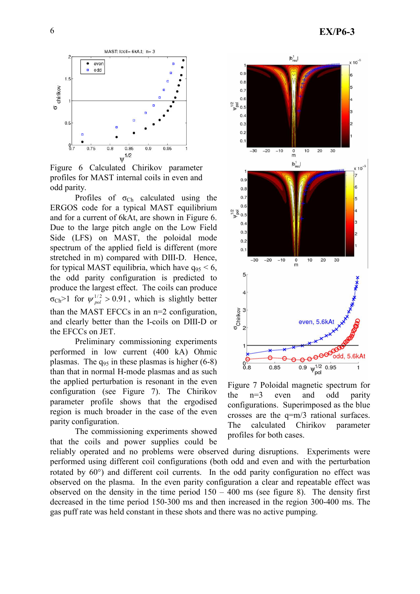

Figure 6 Calculated Chirikov parameter profiles for MAST internal coils in even and odd parity.

Profiles of  $\sigma_{Ch}$  calculated using the ERGOS code for a typical MAST equilibrium and for a current of 6kAt, are shown in Figure 6. Due to the large pitch angle on the Low Field Side (LFS) on MAST, the poloidal mode spectrum of the applied field is different (more stretched in m) compared with DIII-D. Hence, for typical MAST equilibria, which have  $q_{95} < 6$ , the odd parity configuration is predicted to produce the largest effect. The coils can produce  $\sigma_{Ch}$ >1 for  $\psi_{pol}^{1/2}$  > 0.91, which is slightly better than the MAST EFCCs in an n=2 configuration, and clearly better than the I-coils on DIII-D or the EFCCs on JET.

Preliminary commissioning experiments performed in low current (400 kA) Ohmic plasmas. The  $q_{95}$  in these plasmas is higher (6-8) than that in normal H-mode plasmas and as such the applied perturbation is resonant in the even configuration (see Figure 7). The Chirikov parameter profile shows that the ergodised region is much broader in the case of the even parity configuration.

The commissioning experiments showed that the coils and power supplies could be



Figure 7 Poloidal magnetic spectrum for the n=3 even and odd parity configurations. Superimposed as the blue crosses are the q=m/3 rational surfaces. The calculated Chirikov parameter profiles for both cases.

reliably operated and no problems were observed during disruptions. Experiments were performed using different coil configurations (both odd and even and with the perturbation rotated by 60°) and different coil currents. In the odd parity configuration no effect was observed on the plasma. In the even parity configuration a clear and repeatable effect was observed on the density in the time period  $150 - 400$  ms (see figure 8). The density first decreased in the time period 150-300 ms and then increased in the region 300-400 ms. The gas puff rate was held constant in these shots and there was no active pumping.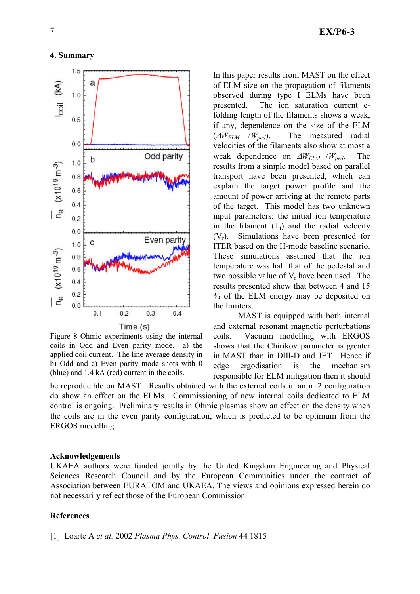#### 4. Summary



Figure 8 Ohmic experiments using the internal coils in Odd and Even parity mode. a) the applied coil current. The line average density in b) Odd and c) Even parity mode shots with 0 (blue) and 1.4 kA (red) current in the coils.

In this paper results from MAST on the effect of ELM size on the propagation of filaments observed during type I ELMs have been presented. The ion saturation current efolding length of the filaments shows a weak, if any, dependence on the size of the ELM  $(\Delta W_{ELM}$  /W<sub>ped</sub>). The measured radial velocities of the filaments also show at most a weak dependence on  $\Delta W_{ELM}$  /W<sub>ped</sub>. The results from a simple model based on parallel transport have been presented, which can explain the target power profile and the amount of power arriving at the remote parts of the target. This model has two unknown input parameters: the initial ion temperature in the filament  $(T_i)$  and the radial velocity  $(V_r)$ . Simulations have been presented for ITER based on the H-mode baseline scenario. These simulations assumed that the ion temperature was half that of the pedestal and two possible value of  $V_r$  have been used. The results presented show that between 4 and 15 % of the ELM energy may be deposited on the limiters.

MAST is equipped with both internal and external resonant magnetic perturbations coils. Vacuum modelling with ERGOS shows that the Chirikov parameter is greater in MAST than in DIII-D and JET. Hence if edge ergodisation is the mechanism responsible for ELM mitigation then it should

be reproducible on MAST. Results obtained with the external coils in an n=2 configuration do show an effect on the ELMs. Commissioning of new internal coils dedicated to ELM control is ongoing. Preliminary results in Ohmic plasmas show an effect on the density when the coils are in the even parity configuration, which is predicted to be optimum from the ERGOS modelling.

#### Acknowledgements

UKAEA authors were funded jointly by the United Kingdom Engineering and Physical Sciences Research Council and by the European Communities under the contract of Association between EURATOM and UKAEA. The views and opinions expressed herein do not necessarily reflect those of the European Commission.

#### References

[1] Loarte A et al. 2002 Plasma Phys. Control. Fusion 44 1815